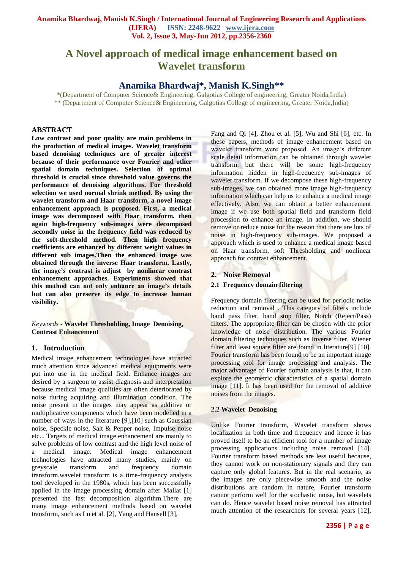# **A Novel approach of medical image enhancement based on Wavelet transform**

# **Anamika Bhardwaj\*, Manish K.Singh\*\***

\*(Department of Computer Science& Engineering, Galgotias College of engineering, Greater Noida,India) \*\* (Department of Computer Science& Engineering, Galgotias College of engineering, Greater Noida,India)

# **ABSTRACT**

**Low contrast and poor quality are main problems in the production of medical images. Wavelet transform based denoising techniques are of greater interest because of their performance over Fourier and other spatial domain techniques. Selection of optimal threshold is crucial since threshold value governs the performance of denoising algorithms. For threshold selection we used normal shrink method. By using the wavelet transform and Haar transform, a novel image enhancement approach is proposed. First, a medical image was decomposed with Haar transform. then again high-frequency sub-images were decomposed .secondly noise in the frequency field was reduced by the soft-threshold method. Then high frequency coefficients are enhanced by different weight values in different sub images.Then the enhanced image was obtained through the inverse Haar transform. Lastly, the image's contrast is adjust by nonlinear contrast enhancement approaches. Experiments showed that this method can not only enhance an image's details but can also preserve its edge to increase human visibility.** 

## *Keywords* **- Wavelet Thresholding, Image Denoising, Contrast Enhancement**

# **1. Introduction**

Medical image enhancement technologies have attracted much attention since advanced medical equipments were put into use in the medical field. Enhance images are desired by a surgeon to assist diagnosis and interpretation because medical image qualities are often deteriorated by noise during acquiring and illumination condition. The noise present in the images may appear as additive or multiplicative components which have been modelled in a number of ways in the literature [9],[10] such as Gaussian noise, Speckle noise, Salt & Pepper noise, Impulse noise etc... Targets of medical image enhancement are mainly to solve problems of low contrast and the high level noise of a medical image. Medical image enhancement technologies have attracted many studies, mainly on greyscale transform and frequency domain transform.wavelet transform is a time-frequency analysis tool developed in the 1980s, which has been successfully applied in the image processing domain after Mallat [1] presented the fast decomposition algorithm.There are many image enhancement methods based on wavelet transform, such as Lu et al. [2], Yang and Hansell [3],

Fang and Qi [4], Zhou et al. [5], Wu and Shi [6], etc. In these papers, methods of image enhancement based on wavelet transform were proposed. An image"s different scale detail information can be obtained through wavelet transform, but there will be some high-frequency information hidden in high-frequency sub-images of wavelet transform. If we decompose these high-frequency sub-images, we can obtained more image high-frequency information which can help us to enhance a medical image effectively. Also, we can obtain a better enhancement image if we use both spatial field and transform field procession to enhance an image. In addition, we should remove or reduce noise for the reason that there are lots of noise in high-frequency sub-images. We proposed a approach which is used to enhance a medical image based on Haar transform, soft Thresholding and nonlinear approach for contrast enhancement.

# **2. Noise Removal**

## **2.1 Frequency domain filtering**

Frequency domain filtering can be used for periodic noise reduction and removal . This category of filters include band pass filter, band stop filter, Notch (Reject/Pass) filters. The appropriate filter can be chosen with the prior knowledge of noise distribution. The various Fourier domain filtering techniques such as Inverse filter, Wiener filter and least square filter are found in literature[9] [10]. Fourier transform has been found to be an important image processing tool for image processing and analysis. The major advantage of Fourier domain analysis is that, it can explore the geometric characteristics of a spatial domain image [11]. It has been used for the removal of additive noises from the images.

## **2.2 Wavelet Denoising**

Unlike Fourier transform, Wavelet transform shows localization in both time and frequency and hence it has proved itself to be an efficient tool for a number of image processing applications including noise removal [14]. Fourier transform based methods are less useful because, they cannot work on non-stationary signals and they can capture only global features. But in the real scenario, as the images are only piecewise smooth and the noise distributions are random in nature, Fourier transform cannot perform well for the stochastic noise, but wavelets can do. Hence wavelet based noise removal has attracted much attention of the researchers for several years [12],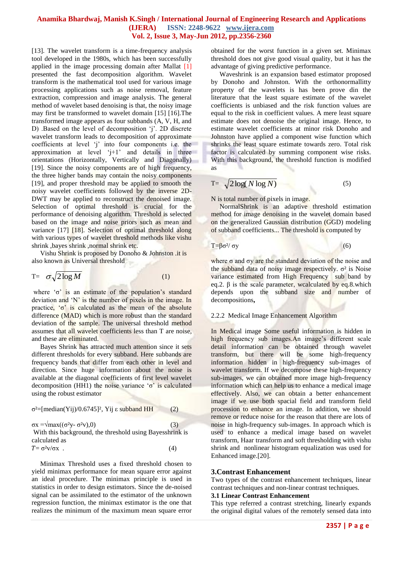[13]. The wavelet transform is a time-frequency analysis tool developed in the 1980s, which has been successfully applied in the image processing domain after Mallat [1] presented the fast decomposition algorithm. Wavelet transform is the mathematical tool used for various image processing applications such as noise removal, feature extraction, compression and image analysis. The general method of wavelet based denoising is that, the noisy image may first be transformed to wavelet domain [15] [16].The transformed image appears as four subbands (A, V, H, and D) .Based on the level of decomposition 'j'. 2D discrete wavelet transform leads to decomposition of approximate coefficients at level "j" into four components i.e. the approximation at level  $j+1$  and details in three orientations (Horizontally, Vertically and Diagonally) [19]. Since the noisy components are of high frequency, the three higher bands may contain the noisy components [19], and proper threshold may be applied to smooth the noisy wavelet coefficients followed by the inverse 2D-DWT may be applied to reconstruct the denoised image. Selection of optimal threshold is crucial for the performance of denoising algorithm. Threshold is selected based on the image and noise priors such as mean and variance [17] [18]. Selection of optimal threshold along with various types of wavelet threshold methods like vishu shrink ,bayes shrink ,normal shrink etc.

 Vishu Shrink is proposed by Donoho & Johnston .it is also known as Universal threshold

$$
T = \sigma \sqrt{2 \log M} \tag{1}
$$

where  $\sigma'$  is an estimate of the population's standard deviation and "N" is the number of pixels in the image. In practice,  $\sigma'$  is calculated as the mean of the absolute difference (MAD) which is more robust than the standard deviation of the sample. The universal threshold method assumes that all wavelet coefficients less than T are noise, and these are eliminated.

 Bayes Shrink has attracted much attention since it sets different thresholds for every subband. Here subbands are frequency bands that differ from each other in level and direction. Since huge information about the noise is available at the diagonal coefficients of first level wavelet decomposition (HH1) the noise variance  $\sigma$  is calculated using the robust estimator

$$
\sigma^2 = [median(Yij)/0.6745]^2, Yij \in subband HH
$$
 (2)  
\n
$$
\sigma x = \sqrt{max((\sigma^2 y - \sigma^2 v), 0)}
$$
 (3)  
\nWith this background, the threshold using Bayesshrink is calculated as

 $T = \sigma^2 v / \sigma x$  . (4)

 Minimax Threshold uses a fixed threshold chosen to yield minimax performance for mean square error against an ideal procedure. The minimax principle is used in statistics in order to design estimators. Since the de-noised signal can be assimilated to the estimator of the unknown regression function, the minimax estimator is the one that realizes the minimum of the maximum mean square error obtained for the worst function in a given set. Minimax threshold does not give good visual quality, but it has the advantage of giving predictive performance.

 Waveshrink is an expansion based estimator proposed by Donoho and Johnston. With the orthonormallitty property of the wavelets is has been prove din the literature that the least square estimate of the wavelet coefficients is unbiased and the risk function values are equal to the risk in coefficient values. A mere least square estimate does not denoise the original image. Hence, to estimate wavelet coefficients at minor risk Donoho and Johnston have applied a component wise function which shrinks the least square estimate towards zero. Total risk factor is calculated by summing component wise risks. With this background, the threshold function is modified as

$$
T = \sqrt{2\log(N\log N)}\tag{5}
$$

N is total number of pixels in image.

 NormalShrink is an adaptive threshold estimation method for image denoising in the wavelet domain based on the generalized Gaussian distribution (GGD) modeling of subband coefficients... The threshold is computed by

# $T = \beta \sigma^2 / \sigma y$  (6)

where  $\sigma$  and  $\sigma$ y are the standard deviation of the noise and the subband data of noisy image respectively.  $σ²$  is Noise variance estimated from High Frequency sub band by eq.2. β is the scale parameter, wcalculated by eq.8.which depends upon the subband size and number of decompositions**,** 

## 2.2.2 Medical Image Enhancement Algorithm

In Medical image Some useful information is hidden in high frequency sub images.An image's different scale detail information can be obtained through wavelet transform, but there will be some high-frequency information hidden in high-frequency sub-images of wavelet transform. If we decompose these high-frequency sub-images, we can obtained more image high-frequency information which can help us to enhance a medical image effectively. Also, we can obtain a better enhancement image if we use both spacial field and transform field procession to enhance an image. In addition, we should remove or reduce noise for the reason that there are lots of noise in high-frequency sub-images. In approach which is used to enhance a medical image based on wavelet transform, Haar transform and soft thresholding with vishu shrink and nonlinear histogram equalization was used for Enhanced image.[20].

#### **3.Contrast Enhancement**

Two types of the contrast enhancement techniques, linear contrast techniques and non-linear contrast techniques.

#### **3.1 Linear Contrast Enhancement**

This type referred a contrast stretching, linearly expands the original digital values of the remotely sensed data into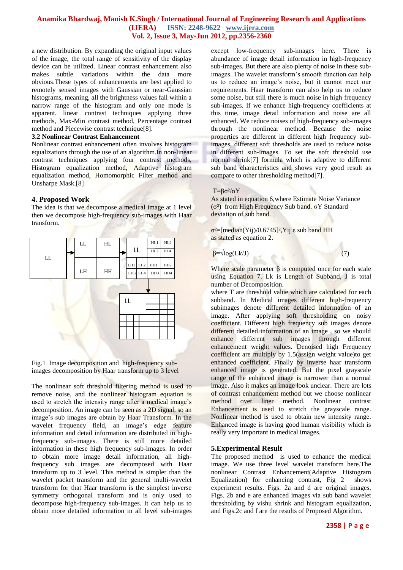a new distribution. By expanding the original input values of the image, the total range of sensitivity of the display device can be utilized. Linear contrast enhancement also makes subtle variations within the data more obvious.These types of enhancements are best applied to remotely sensed images with Gaussian or near-Gaussian histograms, meaning, all the brightness values fall within a narrow range of the histogram and only one mode is apparent. linear contrast techniques applying three methods, Max-Min contrast method, Percentage contrast method and Piecewise contrast technique[8].

#### **3.2 Nonlinear Contrast Enhancement**

Nonlinear contrast enhancement often involves histogram equalizations through the use of an algorithm.In non-linear contrast techniques applying four contrast methods, Histogram equalization method, Adaptive histogram equalization method, Homomorphic Filter method and Unsharpe Mask.[8]

#### **4. Proposed Work**

The idea is that we decompose a medical image at 1 level then we decompose high-frequency sub-images with Haar transform.



Fig.1 Image decomposition and high-frequency subimages decomposition by Haar transform up to 3 level

The nonlinear soft threshold filtering method is used to remove noise, and the nonlinear histogram equation is used to stretch the intensity range after a medical image's decomposition. An image can be seen as a 2D signal, so an image's sub images are obtain by Haar Transform. In the wavelet frequency field, an image's edge feature information and detail information are distributed in highfrequency sub-images. There is still more detailed information in these high frequency sub-images. In order to obtain more image detail information, all highfrequency sub images are decomposed with Haar transform up to 3 level. This method is simpler than the wavelet packet transform and the general multi-wavelet transform for that Haar transform is the simplest inverse symmetry orthogonal transform and is only used to decompose high-frequency sub-images. It can help us to obtain more detailed information in all level sub-images

except low-frequency sub-images here. There is abundance of image detail information in high-frequency sub-images. But there are also plenty of noise in these subimages. The wavelet transform"s smooth function can help us to reduce an image"s noise, but it cannot meet our requirements. Haar transform can also help us to reduce some noise, but still there is much noise in high frequency sub-images. If we enhance high-frequency coefficients at this time, image detail information and noise are all enhanced. We reduce noises of high-frequency sub-images through the nonlinear method. Because the noise properties are different in different high frequency subimages, different soft thresholds are used to reduce noise in different sub-images. To set the soft threshold use normal shrink[7] formula which is adaptive to different sub band characteristics and shows very good result as compare to other thresholding method[7].

#### T=βσ²/σY

As stated in equation 6,where Estimate Noise Variance (σ²) from High Frequency Sub band. σY Standard deviation of sub band.

σ²=[median(Yij)/0.6745]²,Yij ε sub band HH as stated as equation 2.

 $\beta = \sqrt{\log(Lk/J)}$  (7)

Where scale parameter  $\beta$  is computed once for each scale using Equation 7. Lk is Length of Subband, J is total number of Decomposition.

where T are threshold value which are calculated for each subband. In Medical images different high-frequency subimages denote different detailed information of an image. After applying soft thresholding on noisy coefficient. Different high frequency sub images denote different detailed information of an image , so we should enhance different sub images through different enhancement weight values. Denoised high Frequency coefficient are multiply by 1.5(assign weight value)to get enhanced coefficient. Finally by inverse haar transform enhanced image is generated. But the pixel grayscale range of the enhanced image is narrower than a normal image. Also it makes an image look unclear. There are lots of contrast enhancement method but we choose nonlinear method over liner method. Nonlinear contrast Enhancement is used to stretch the grayscale range. Nonlinear method is used to obtain new intensity range. Enhanced image is having good human visibility which is really very important in medical images.

## **5.Experimental Result**

The proposed method is used to enhance the medical image. We use three level wavelet transform here.The nonlinear Contrast Enhancement(Adaptive Histogram Equalization) for enhancing contrast, Fig 2 shows experiment results. Figs. 2a and d are original images, Figs. 2b and e are enhanced images via sub band wavelet thresholding by vishu shrink and histogram equalization, and Figs.2c and f are the results of Proposed Algorithm.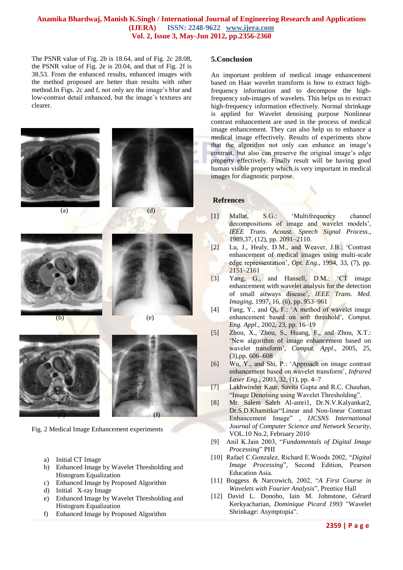The PSNR value of Fig. 2b is 18.64, and of Fig. 2c 28.08, the PSNR value of Fig. 2e is 20.04, and that of Fig. 2f is 38.53. From the enhanced results, enhanced images with the method proposed are better than results with other method.In Figs. 2c and f, not only are the image"s blur and low-contrast detail enhanced, but the image's textures are clearer.



Fig. 2 Medical Image Enhancement experiments

- a) Initial CT Image
- b) Enhanced Image by Wavelet Thresholding and Histogram Equalization
- c) Enhanced Image by Proposed Algorithm
- d) Initial X-ray Image
- e) Enhanced Image by Wavelet Thresholding and Histogram Equalization
- f) Enhanced Image by Proposed Algorithm

#### **5.Conclusion**

An important problem of medical image enhancement based on Haar wavelet transform is how to extract highfrequency information and to decompose the highfrequency sub-images of wavelets. This helps us to extract high-frequency information effectively. Normal shrinkage is applied for Wavelet denoising purpose Nonlinear contrast enhancement are used in the process of medical image enhancement. They can also help us to enhance a medical image effectively. Results of experiments show that the algorithm not only can enhance an image"s contrast, but also can preserve the original image's edge property effectively. Finally result will be having good human visible property which is very important in medical images for diagnostic purpose.

#### **Refrences**

- [1] Mallat, S.G.: "Multifrequency channel decompositions of image and wavelet models', *IEEE Trans. Acoust. Speech Signal Process*., 1989,37, (12), pp. 2091–2110.
- [2] Lu, J., Healy, D.M., and Weaver, J.B.: "Contrast enhancement of medical images using multi-scale edge repressentation", *Opt. Eng*., 1994, 33, (7), pp. 2151–2161
- [3] Yang, G., and Hansell, D.M.: 'CT image enhancement with wavelet analysis for the detection of small airways disease", *IEEE Trans. Med. Imaging,* 1997, 16, (6), pp. 953–961
- [4] Fang, Y., and Qi, F.: "A method of wavelet image enhancement based on soft threshold", *Comput. Eng. Appl*., 2002, 23, pp. 16–19
- [5] Zhou, X., Zhou, S., Huang, F., and Zhou, X.T.: 'New algorithm of image enhancement based on wavelet transform", *Comput. Appl*., 2005, 25, (3),pp. 606–608
- [6] Wu, Y., and Shi, P.: "Approach on image contrast enhancement based on wavelet transform", *Infrared Laser Eng*., 2003, 32, (1), pp. 4–7
- [7] Lakhwinder Kaur, Savita Gupta and R.C. Chauhan, "Image Denoising using Wavelet Thresholding".
- [8] Mr. Salem Saleh Al-amri1, Dr.N.V.Kalyankar2, Dr.S.D.Khamitkar"Linear and Non-linear Contrast Enhancement Image" , *IJCSNS International Journal of Computer Science and Network Security*, VOL.10 No.2, February 2010
- [9] Anil K.Jain 2003, "*Fundamentals of Digital Image Processing*" PHI
- [10] Rafael C.Gonzalez, Richard E.Woods 2002, "*Digital Image Processing*", Second Edition, Pearson Education Asia.
- [11] Boggess & Narcowich, 2002, "*A First Course in Wavelets with Fourier Analysis*", Prentice Hall
- [12] David L. Donoho, Iain M. Johnstone, Gérard Kerkyacharian, *Dominique Picard 1993* "Wavelet Shrinkage: Asymptopia".